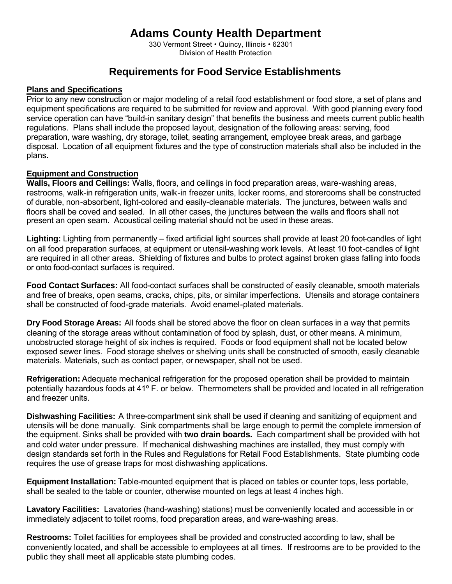# **Adams County Health Department**

330 Vermont Street • Quincy, Illinois • 62301 Division of Health Protection

# **Requirements for Food Service Establishments**

#### **Plans and Specifications**

Prior to any new construction or major modeling of a retail food establishment or food store, a set of plans and equipment specifications are required to be submitted for review and approval. With good planning every food service operation can have "build-in sanitary design" that benefits the business and meets current public health regulations. Plans shall include the proposed layout, designation of the following areas: serving, food preparation, ware washing, dry storage, toilet, seating arrangement, employee break areas, and garbage disposal. Location of all equipment fixtures and the type of construction materials shall also be included in the plans.

#### **Equipment and Construction**

**Walls, Floors and Ceilings:** Walls, floors, and ceilings in food preparation areas, ware-washing areas, restrooms, walk-in refrigeration units, walk-in freezer units, locker rooms, and storerooms shall be constructed of durable, non-absorbent, light-colored and easily-cleanable materials. The junctures, between walls and floors shall be coved and sealed. In all other cases, the junctures between the walls and floors shall not present an open seam. Acoustical ceiling material should not be used in these areas.

**Lighting:** Lighting from permanently – fixed artificial light sources shall provide at least 20 foot-candles of light on all food preparation surfaces, at equipment or utensil-washing work levels. At least 10 foot-candles of light are required in all other areas. Shielding of fixtures and bulbs to protect against broken glass falling into foods or onto food-contact surfaces is required.

**Food Contact Surfaces:** All food-contact surfaces shall be constructed of easily cleanable, smooth materials and free of breaks, open seams, cracks, chips, pits, or similar imperfections. Utensils and storage containers shall be constructed of food-grade materials. Avoid enamel-plated materials.

**Dry Food Storage Areas:** All foods shall be stored above the floor on clean surfaces in a way that permits cleaning of the storage areas without contamination of food by splash, dust, or other means. A minimum, unobstructed storage height of six inches is required. Foods or food equipment shall not be located below exposed sewer lines. Food storage shelves or shelving units shall be constructed of smooth, easily cleanable materials. Materials, such as contact paper, or newspaper, shall not be used.

**Refrigeration:** Adequate mechanical refrigeration for the proposed operation shall be provided to maintain potentially hazardous foods at 41º F. or below. Thermometers shall be provided and located in all refrigeration and freezer units.

**Dishwashing Facilities:** A three-compartment sink shall be used if cleaning and sanitizing of equipment and utensils will be done manually. Sink compartments shall be large enough to permit the complete immersion of the equipment. Sinks shall be provided with **two drain boards.** Each compartment shall be provided with hot and cold water under pressure. If mechanical dishwashing machines are installed, they must comply with design standards set forth in the Rules and Regulations for Retail Food Establishments. State plumbing code requires the use of grease traps for most dishwashing applications.

**Equipment Installation:** Table-mounted equipment that is placed on tables or counter tops, less portable, shall be sealed to the table or counter, otherwise mounted on legs at least 4 inches high.

**Lavatory Facilities:** Lavatories (hand-washing) stations) must be conveniently located and accessible in or immediately adjacent to toilet rooms, food preparation areas, and ware-washing areas.

**Restrooms:** Toilet facilities for employees shall be provided and constructed according to law, shall be conveniently located, and shall be accessible to employees at all times. If restrooms are to be provided to the public they shall meet all applicable state plumbing codes.